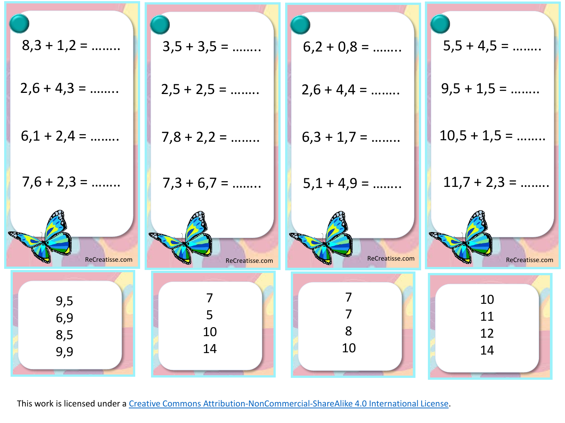| $8,3 + 1,2 = $    | $3,5 + 3,5 =$   | $6,2 + 0,8 = $                   | $5,5 + 4,5 =$   |
|-------------------|-----------------|----------------------------------|-----------------|
| $2,6 + 4,3 =$     | $2,5 + 2,5 =$   | $2,6 + 4,4 =$                    | $9,5 + 1,5 =$   |
| $6,1 + 2,4 =$     | $7,8 + 2,2 = $  | $6,3 + 1,7 =$                    | $10,5 + 1,5 =$  |
| $7,6 + 2,3 =$     | $7,3 + 6,7 =$   | $5,1 + 4,9 = $                   | $11,7 + 2,3 =$  |
|                   |                 |                                  |                 |
| ReCreatisse.com   | ReCreatisse.com | ReCreatisse.com                  | ReCreatisse.com |
| 9,5               | 7<br>5          | $\overline{7}$<br>$\overline{7}$ | 10              |
| 6,9<br>8,5<br>9,9 | 10<br>14        | 8<br>10                          | 11<br>12<br>14  |
|                   |                 |                                  |                 |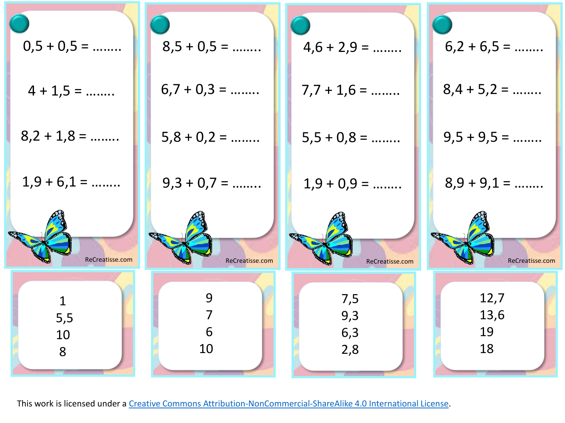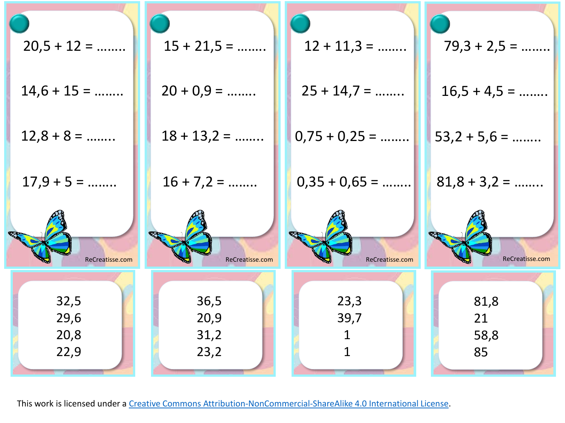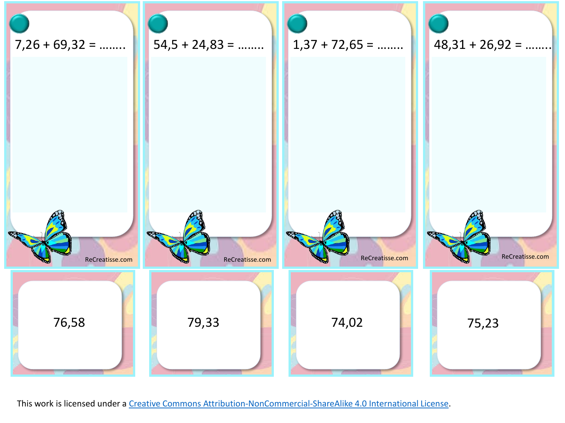